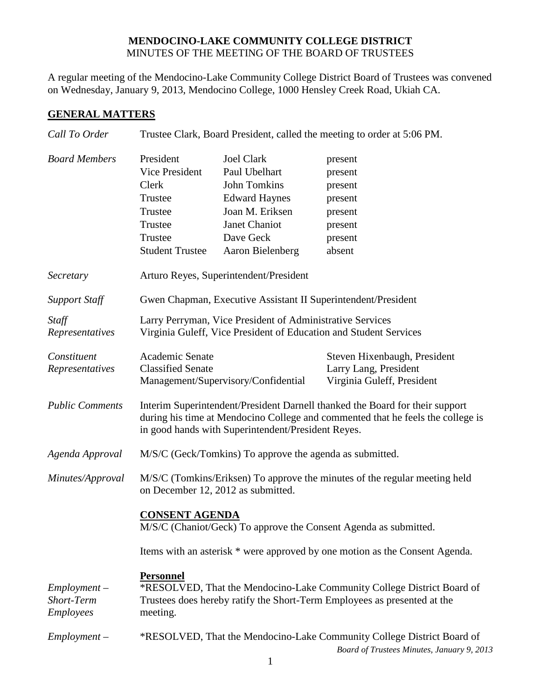## **MENDOCINO-LAKE COMMUNITY COLLEGE DISTRICT** MINUTES OF THE MEETING OF THE BOARD OF TRUSTEES

A regular meeting of the Mendocino-Lake Community College District Board of Trustees was convened on Wednesday, January 9, 2013, Mendocino College, 1000 Hensley Creek Road, Ukiah CA.

## **GENERAL MATTERS**

| Call To Order                                    | Trustee Clark, Board President, called the meeting to order at 5:06 PM.                                                                                                                                               |                                                                                                                                                 |                                                                                     |  |
|--------------------------------------------------|-----------------------------------------------------------------------------------------------------------------------------------------------------------------------------------------------------------------------|-------------------------------------------------------------------------------------------------------------------------------------------------|-------------------------------------------------------------------------------------|--|
| <b>Board Members</b>                             | President<br><b>Vice President</b><br>Clerk<br>Trustee<br>Trustee<br>Trustee<br>Trustee<br><b>Student Trustee</b>                                                                                                     | <b>Joel Clark</b><br>Paul Ubelhart<br>John Tomkins<br><b>Edward Haynes</b><br>Joan M. Eriksen<br>Janet Chaniot<br>Dave Geck<br>Aaron Bielenberg | present<br>present<br>present<br>present<br>present<br>present<br>present<br>absent |  |
| Secretary                                        | Arturo Reyes, Superintendent/President                                                                                                                                                                                |                                                                                                                                                 |                                                                                     |  |
| <b>Support Staff</b>                             | Gwen Chapman, Executive Assistant II Superintendent/President                                                                                                                                                         |                                                                                                                                                 |                                                                                     |  |
| Staff<br>Representatives                         | Larry Perryman, Vice President of Administrative Services<br>Virginia Guleff, Vice President of Education and Student Services                                                                                        |                                                                                                                                                 |                                                                                     |  |
| Constituent<br>Representatives                   | Academic Senate<br><b>Classified Senate</b><br>Management/Supervisory/Confidential                                                                                                                                    |                                                                                                                                                 | Steven Hixenbaugh, President<br>Larry Lang, President<br>Virginia Guleff, President |  |
| <b>Public Comments</b>                           | Interim Superintendent/President Darnell thanked the Board for their support<br>during his time at Mendocino College and commented that he feels the college is<br>in good hands with Superintendent/President Reyes. |                                                                                                                                                 |                                                                                     |  |
| Agenda Approval                                  | M/S/C (Geck/Tomkins) To approve the agenda as submitted.                                                                                                                                                              |                                                                                                                                                 |                                                                                     |  |
| Minutes/Approval                                 | M/S/C (Tomkins/Eriksen) To approve the minutes of the regular meeting held<br>on December 12, 2012 as submitted.                                                                                                      |                                                                                                                                                 |                                                                                     |  |
|                                                  | <b>CONSENT AGENDA</b><br>M/S/C (Chaniot/Geck) To approve the Consent Agenda as submitted.                                                                                                                             |                                                                                                                                                 |                                                                                     |  |
|                                                  | Items with an asterisk * were approved by one motion as the Consent Agenda.                                                                                                                                           |                                                                                                                                                 |                                                                                     |  |
| $Employment -$<br><b>Short-Term</b><br>Employees | <b>Personnel</b><br>*RESOLVED, That the Mendocino-Lake Community College District Board of<br>Trustees does hereby ratify the Short-Term Employees as presented at the<br>meeting.                                    |                                                                                                                                                 |                                                                                     |  |
| $Employment -$                                   | *RESOLVED, That the Mendocino-Lake Community College District Board of<br>Board of Trustees Minutes, January 9, 2013                                                                                                  |                                                                                                                                                 |                                                                                     |  |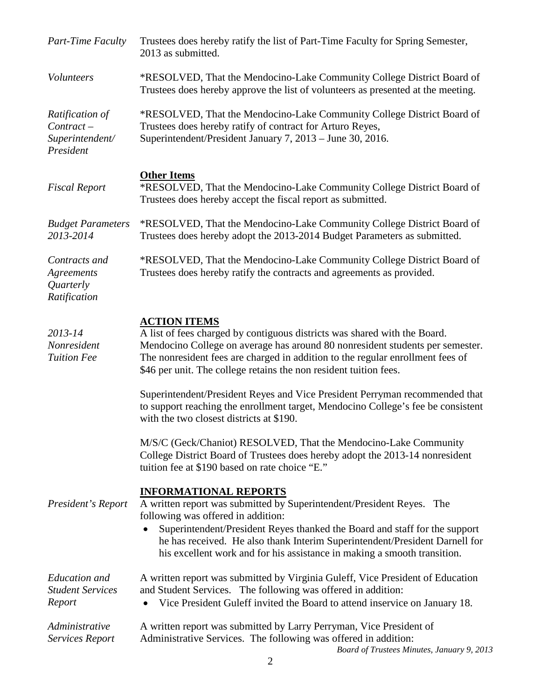| <b>Part-Time Faculty</b>                                        | Trustees does hereby ratify the list of Part-Time Faculty for Spring Semester,<br>2013 as submitted.                                                                                                                                                                                                                                                                                    |  |
|-----------------------------------------------------------------|-----------------------------------------------------------------------------------------------------------------------------------------------------------------------------------------------------------------------------------------------------------------------------------------------------------------------------------------------------------------------------------------|--|
| Volunteers                                                      | *RESOLVED, That the Mendocino-Lake Community College District Board of<br>Trustees does hereby approve the list of volunteers as presented at the meeting.                                                                                                                                                                                                                              |  |
| Ratification of<br>$Contract -$<br>Superintendent/<br>President | *RESOLVED, That the Mendocino-Lake Community College District Board of<br>Trustees does hereby ratify of contract for Arturo Reyes,<br>Superintendent/President January 7, 2013 – June 30, 2016.                                                                                                                                                                                        |  |
| <b>Fiscal Report</b>                                            | <b>Other Items</b><br>*RESOLVED, That the Mendocino-Lake Community College District Board of<br>Trustees does hereby accept the fiscal report as submitted.                                                                                                                                                                                                                             |  |
| <b>Budget Parameters</b><br>2013-2014                           | *RESOLVED, That the Mendocino-Lake Community College District Board of<br>Trustees does hereby adopt the 2013-2014 Budget Parameters as submitted.                                                                                                                                                                                                                                      |  |
| Contracts and<br>Agreements<br>Quarterly<br>Ratification        | *RESOLVED, That the Mendocino-Lake Community College District Board of<br>Trustees does hereby ratify the contracts and agreements as provided.                                                                                                                                                                                                                                         |  |
| 2013-14<br>Nonresident<br><b>Tuition Fee</b>                    | <b>ACTION ITEMS</b><br>A list of fees charged by contiguous districts was shared with the Board.<br>Mendocino College on average has around 80 nonresident students per semester.<br>The nonresident fees are charged in addition to the regular enrollment fees of<br>\$46 per unit. The college retains the non resident tuition fees.                                                |  |
|                                                                 | Superintendent/President Reyes and Vice President Perryman recommended that<br>to support reaching the enrollment target, Mendocino College's fee be consistent<br>with the two closest districts at \$190.                                                                                                                                                                             |  |
|                                                                 | M/S/C (Geck/Chaniot) RESOLVED, That the Mendocino-Lake Community<br>College District Board of Trustees does hereby adopt the 2013-14 nonresident<br>tuition fee at \$190 based on rate choice "E."                                                                                                                                                                                      |  |
| President's Report                                              | <b>INFORMATIONAL REPORTS</b><br>A written report was submitted by Superintendent/President Reyes.<br>The<br>following was offered in addition:<br>Superintendent/President Reyes thanked the Board and staff for the support<br>he has received. He also thank Interim Superintendent/President Darnell for<br>his excellent work and for his assistance in making a smooth transition. |  |
| <b>Education</b> and<br><b>Student Services</b><br>Report       | A written report was submitted by Virginia Guleff, Vice President of Education<br>and Student Services. The following was offered in addition:<br>Vice President Guleff invited the Board to attend inservice on January 18.                                                                                                                                                            |  |
| Administrative<br><b>Services Report</b>                        | A written report was submitted by Larry Perryman, Vice President of<br>Administrative Services. The following was offered in addition:<br>Board of Trustees Minutes, January 9, 2013                                                                                                                                                                                                    |  |